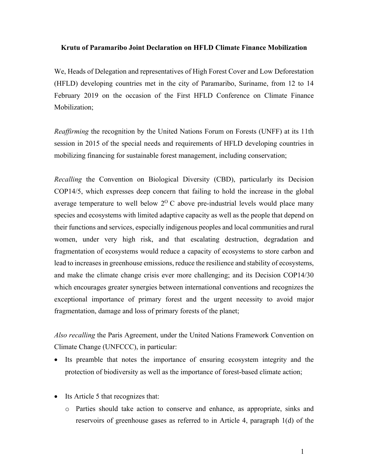### **Krutu of Paramaribo Joint Declaration on HFLD Climate Finance Mobilization**

We, Heads of Delegation and representatives of High Forest Cover and Low Deforestation (HFLD) developing countries met in the city of Paramaribo, Suriname, from 12 to 14 February 2019 on the occasion of the First HFLD Conference on Climate Finance Mobilization;

*Reaffirming* the recognition by the United Nations Forum on Forests (UNFF) at its 11th session in 2015 of the special needs and requirements of HFLD developing countries in mobilizing financing for sustainable forest management, including conservation;

*Recalling* the Convention on Biological Diversity (CBD), particularly its Decision COP14/5, which expresses deep concern that failing to hold the increase in the global average temperature to well below  $2^{0}$  C above pre-industrial levels would place many species and ecosystems with limited adaptive capacity as well as the people that depend on their functions and services, especially indigenous peoples and local communities and rural women, under very high risk, and that escalating destruction, degradation and fragmentation of ecosystems would reduce a capacity of ecosystems to store carbon and lead to increases in greenhouse emissions, reduce the resilience and stability of ecosystems, and make the climate change crisis ever more challenging; and its Decision COP14/30 which encourages greater synergies between international conventions and recognizes the exceptional importance of primary forest and the urgent necessity to avoid major fragmentation, damage and loss of primary forests of the planet;

*Also recalling* the Paris Agreement, under the United Nations Framework Convention on Climate Change (UNFCCC), in particular:

- Its preamble that notes the importance of ensuring ecosystem integrity and the protection of biodiversity as well as the importance of forest-based climate action;
- Its Article 5 that recognizes that:
	- o Parties should take action to conserve and enhance, as appropriate, sinks and reservoirs of greenhouse gases as referred to in Article 4, paragraph 1(d) of the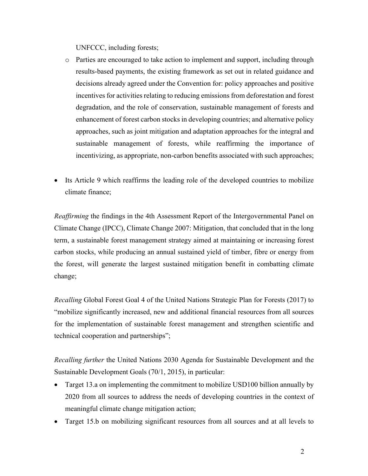UNFCCC, including forests;

- o Parties are encouraged to take action to implement and support, including through results-based payments, the existing framework as set out in related guidance and decisions already agreed under the Convention for: policy approaches and positive incentives for activities relating to reducing emissions from deforestation and forest degradation, and the role of conservation, sustainable management of forests and enhancement of forest carbon stocks in developing countries; and alternative policy approaches, such as joint mitigation and adaptation approaches for the integral and sustainable management of forests, while reaffirming the importance of incentivizing, as appropriate, non-carbon benefits associated with such approaches;
- Its Article 9 which reaffirms the leading role of the developed countries to mobilize climate finance;

*Reaffirming* the findings in the 4th Assessment Report of the Intergovernmental Panel on Climate Change (IPCC), Climate Change 2007: Mitigation, that concluded that in the long term, a sustainable forest management strategy aimed at maintaining or increasing forest carbon stocks, while producing an annual sustained yield of timber, fibre or energy from the forest, will generate the largest sustained mitigation benefit in combatting climate change;

*Recalling* Global Forest Goal 4 of the United Nations Strategic Plan for Forests (2017) to "mobilize significantly increased, new and additional financial resources from all sources for the implementation of sustainable forest management and strengthen scientific and technical cooperation and partnerships";

*Recalling further* the United Nations 2030 Agenda for Sustainable Development and the Sustainable Development Goals (70/1, 2015), in particular:

- Target 13.a on implementing the commitment to mobilize USD100 billion annually by 2020 from all sources to address the needs of developing countries in the context of meaningful climate change mitigation action;
- Target 15.b on mobilizing significant resources from all sources and at all levels to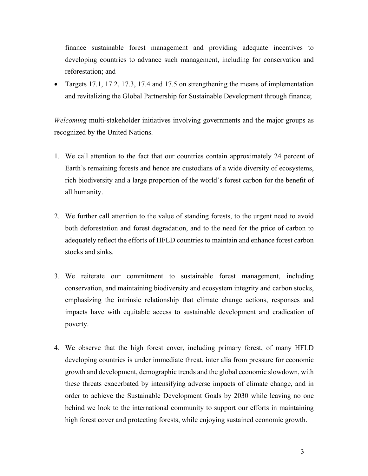finance sustainable forest management and providing adequate incentives to developing countries to advance such management, including for conservation and reforestation; and

• Targets 17.1, 17.2, 17.3, 17.4 and 17.5 on strengthening the means of implementation and revitalizing the Global Partnership for Sustainable Development through finance;

*Welcoming* multi-stakeholder initiatives involving governments and the major groups as recognized by the United Nations.

- 1. We call attention to the fact that our countries contain approximately 24 percent of Earth's remaining forests and hence are custodians of a wide diversity of ecosystems, rich biodiversity and a large proportion of the world's forest carbon for the benefit of all humanity.
- 2. We further call attention to the value of standing forests, to the urgent need to avoid both deforestation and forest degradation, and to the need for the price of carbon to adequately reflect the efforts of HFLD countries to maintain and enhance forest carbon stocks and sinks.
- 3. We reiterate our commitment to sustainable forest management, including conservation, and maintaining biodiversity and ecosystem integrity and carbon stocks, emphasizing the intrinsic relationship that climate change actions, responses and impacts have with equitable access to sustainable development and eradication of poverty.
- 4. We observe that the high forest cover, including primary forest, of many HFLD developing countries is under immediate threat, inter alia from pressure for economic growth and development, demographic trends and the global economic slowdown, with these threats exacerbated by intensifying adverse impacts of climate change, and in order to achieve the Sustainable Development Goals by 2030 while leaving no one behind we look to the international community to support our efforts in maintaining high forest cover and protecting forests, while enjoying sustained economic growth.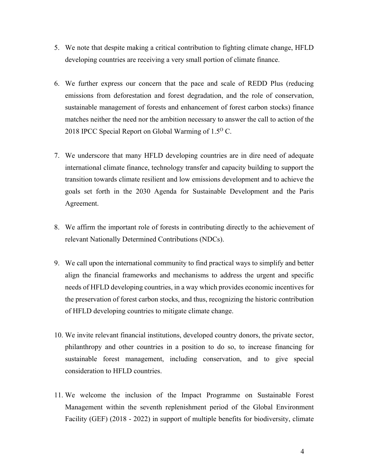- 5. We note that despite making a critical contribution to fighting climate change, HFLD developing countries are receiving a very small portion of climate finance.
- 6. We further express our concern that the pace and scale of REDD Plus (reducing emissions from deforestation and forest degradation, and the role of conservation, sustainable management of forests and enhancement of forest carbon stocks) finance matches neither the need nor the ambition necessary to answer the call to action of the 2018 IPCC Special Report on Global Warming of 1.5<sup>o</sup> C.
- 7. We underscore that many HFLD developing countries are in dire need of adequate international climate finance, technology transfer and capacity building to support the transition towards climate resilient and low emissions development and to achieve the goals set forth in the 2030 Agenda for Sustainable Development and the Paris Agreement.
- 8. We affirm the important role of forests in contributing directly to the achievement of relevant Nationally Determined Contributions (NDCs).
- 9. We call upon the international community to find practical ways to simplify and better align the financial frameworks and mechanisms to address the urgent and specific needs of HFLD developing countries, in a way which provides economic incentives for the preservation of forest carbon stocks, and thus, recognizing the historic contribution of HFLD developing countries to mitigate climate change.
- 10. We invite relevant financial institutions, developed country donors, the private sector, philanthropy and other countries in a position to do so, to increase financing for sustainable forest management, including conservation, and to give special consideration to HFLD countries.
- 11. We welcome the inclusion of the Impact Programme on Sustainable Forest Management within the seventh replenishment period of the Global Environment Facility (GEF) (2018 - 2022) in support of multiple benefits for biodiversity, climate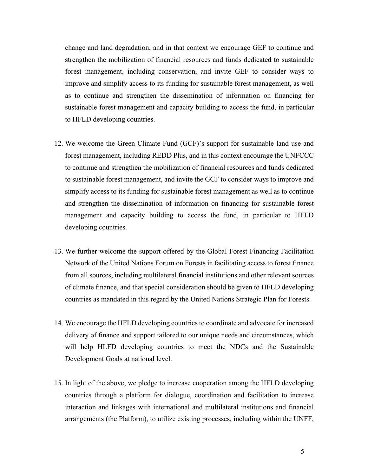change and land degradation, and in that context we encourage GEF to continue and strengthen the mobilization of financial resources and funds dedicated to sustainable forest management, including conservation, and invite GEF to consider ways to improve and simplify access to its funding for sustainable forest management, as well as to continue and strengthen the dissemination of information on financing for sustainable forest management and capacity building to access the fund, in particular to HFLD developing countries.

- 12. We welcome the Green Climate Fund (GCF)'s support for sustainable land use and forest management, including REDD Plus, and in this context encourage the UNFCCC to continue and strengthen the mobilization of financial resources and funds dedicated to sustainable forest management, and invite the GCF to consider ways to improve and simplify access to its funding for sustainable forest management as well as to continue and strengthen the dissemination of information on financing for sustainable forest management and capacity building to access the fund, in particular to HFLD developing countries.
- 13. We further welcome the support offered by the Global Forest Financing Facilitation Network of the United Nations Forum on Forests in facilitating access to forest finance from all sources, including multilateral financial institutions and other relevant sources of climate finance, and that special consideration should be given to HFLD developing countries as mandated in this regard by the United Nations Strategic Plan for Forests.
- 14. We encourage the HFLD developing countries to coordinate and advocate for increased delivery of finance and support tailored to our unique needs and circumstances, which will help HLFD developing countries to meet the NDCs and the Sustainable Development Goals at national level.
- 15. In light of the above, we pledge to increase cooperation among the HFLD developing countries through a platform for dialogue, coordination and facilitation to increase interaction and linkages with international and multilateral institutions and financial arrangements (the Platform), to utilize existing processes, including within the UNFF,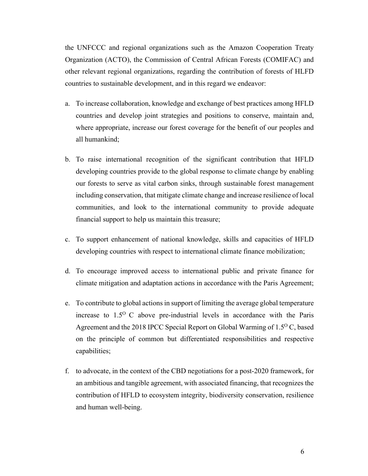the UNFCCC and regional organizations such as the Amazon Cooperation Treaty Organization (ACTO), the Commission of Central African Forests (COMIFAC) and other relevant regional organizations, regarding the contribution of forests of HLFD countries to sustainable development, and in this regard we endeavor:

- a. To increase collaboration, knowledge and exchange of best practices among HFLD countries and develop joint strategies and positions to conserve, maintain and, where appropriate, increase our forest coverage for the benefit of our peoples and all humankind;
- b. To raise international recognition of the significant contribution that HFLD developing countries provide to the global response to climate change by enabling our forests to serve as vital carbon sinks, through sustainable forest management including conservation, that mitigate climate change and increase resilience of local communities, and look to the international community to provide adequate financial support to help us maintain this treasure;
- c. To support enhancement of national knowledge, skills and capacities of HFLD developing countries with respect to international climate finance mobilization;
- d. To encourage improved access to international public and private finance for climate mitigation and adaptation actions in accordance with the Paris Agreement;
- e. To contribute to global actions in support of limiting the average global temperature increase to  $1.5^{\circ}$  C above pre-industrial levels in accordance with the Paris Agreement and the 2018 IPCC Special Report on Global Warming of  $1.5^{\circ}$  C, based on the principle of common but differentiated responsibilities and respective capabilities;
- f. to advocate, in the context of the CBD negotiations for a post-2020 framework, for an ambitious and tangible agreement, with associated financing, that recognizes the contribution of HFLD to ecosystem integrity, biodiversity conservation, resilience and human well-being.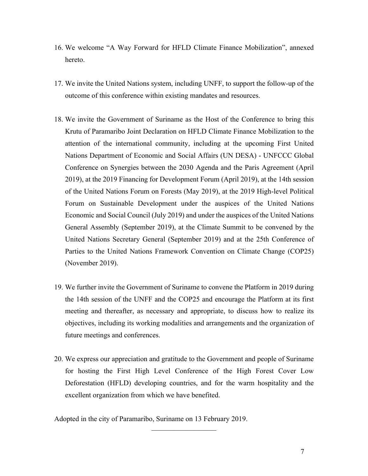- 16. We welcome "A Way Forward for HFLD Climate Finance Mobilization", annexed hereto.
- 17. We invite the United Nations system, including UNFF, to support the follow-up of the outcome of this conference within existing mandates and resources.
- 18. We invite the Government of Suriname as the Host of the Conference to bring this Krutu of Paramaribo Joint Declaration on HFLD Climate Finance Mobilization to the attention of the international community, including at the upcoming First United Nations Department of Economic and Social Affairs (UN DESA) - UNFCCC Global Conference on Synergies between the 2030 Agenda and the Paris Agreement (April 2019), at the 2019 Financing for Development Forum (April 2019), at the 14th session of the United Nations Forum on Forests (May 2019), at the 2019 High-level Political Forum on Sustainable Development under the auspices of the United Nations Economic and Social Council (July 2019) and under the auspices of the United Nations General Assembly (September 2019), at the Climate Summit to be convened by the United Nations Secretary General (September 2019) and at the 25th Conference of Parties to the United Nations Framework Convention on Climate Change (COP25) (November 2019).
- 19. We further invite the Government of Suriname to convene the Platform in 2019 during the 14th session of the UNFF and the COP25 and encourage the Platform at its first meeting and thereafter, as necessary and appropriate, to discuss how to realize its objectives, including its working modalities and arrangements and the organization of future meetings and conferences.
- 20. We express our appreciation and gratitude to the Government and people of Suriname for hosting the First High Level Conference of the High Forest Cover Low Deforestation (HFLD) developing countries, and for the warm hospitality and the excellent organization from which we have benefited.

Adopted in the city of Paramaribo, Suriname on 13 February 2019.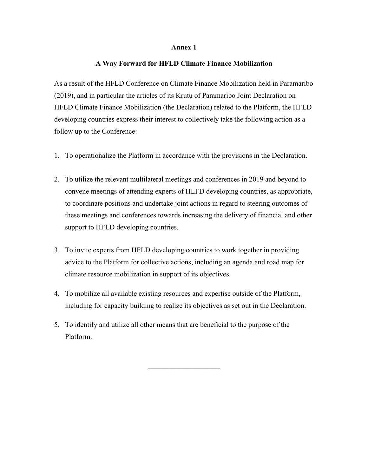#### **Annex 1**

#### **A Way Forward for HFLD Climate Finance Mobilization**

As a result of the HFLD Conference on Climate Finance Mobilization held in Paramaribo (2019), and in particular the articles of its Krutu of Paramaribo Joint Declaration on HFLD Climate Finance Mobilization (the Declaration) related to the Platform, the HFLD developing countries express their interest to collectively take the following action as a follow up to the Conference:

- 1. To operationalize the Platform in accordance with the provisions in the Declaration.
- 2. To utilize the relevant multilateral meetings and conferences in 2019 and beyond to convene meetings of attending experts of HLFD developing countries, as appropriate, to coordinate positions and undertake joint actions in regard to steering outcomes of these meetings and conferences towards increasing the delivery of financial and other support to HFLD developing countries.
- 3. To invite experts from HFLD developing countries to work together in providing advice to the Platform for collective actions, including an agenda and road map for climate resource mobilization in support of its objectives.
- 4. To mobilize all available existing resources and expertise outside of the Platform, including for capacity building to realize its objectives as set out in the Declaration.
- 5. To identify and utilize all other means that are beneficial to the purpose of the Platform.